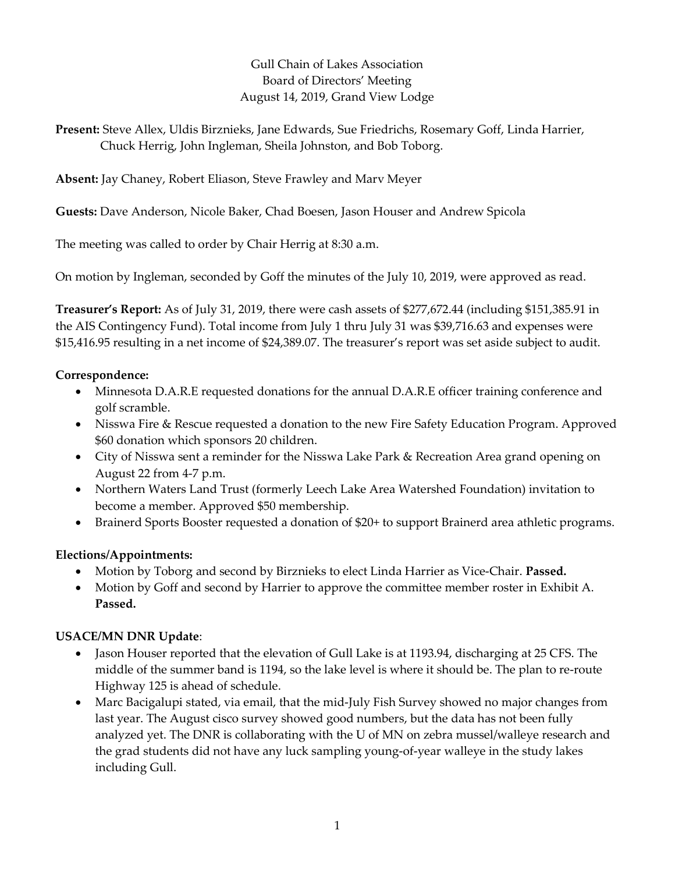### Gull Chain of Lakes Association Board of Directors' Meeting August 14, 2019, Grand View Lodge

Present: Steve Allex, Uldis Birznieks, Jane Edwards, Sue Friedrichs, Rosemary Goff, Linda Harrier, Chuck Herrig, John Ingleman, Sheila Johnston, and Bob Toborg.

Absent: Jay Chaney, Robert Eliason, Steve Frawley and Marv Meyer

Guests: Dave Anderson, Nicole Baker, Chad Boesen, Jason Houser and Andrew Spicola

The meeting was called to order by Chair Herrig at 8:30 a.m.

On motion by Ingleman, seconded by Goff the minutes of the July 10, 2019, were approved as read.

Treasurer's Report: As of July 31, 2019, there were cash assets of \$277,672.44 (including \$151,385.91 in the AIS Contingency Fund). Total income from July 1 thru July 31 was \$39,716.63 and expenses were \$15,416.95 resulting in a net income of \$24,389.07. The treasurer's report was set aside subject to audit.

### Correspondence:

- Minnesota D.A.R.E requested donations for the annual D.A.R.E officer training conference and golf scramble.
- Nisswa Fire & Rescue requested a donation to the new Fire Safety Education Program. Approved \$60 donation which sponsors 20 children.
- City of Nisswa sent a reminder for the Nisswa Lake Park & Recreation Area grand opening on August 22 from 4-7 p.m.
- Northern Waters Land Trust (formerly Leech Lake Area Watershed Foundation) invitation to become a member. Approved \$50 membership.
- Brainerd Sports Booster requested a donation of \$20+ to support Brainerd area athletic programs.

# Elections/Appointments:

- Motion by Toborg and second by Birznieks to elect Linda Harrier as Vice-Chair. Passed.
- Motion by Goff and second by Harrier to approve the committee member roster in Exhibit A. Passed.

# USACE/MN DNR Update:

- Jason Houser reported that the elevation of Gull Lake is at 1193.94, discharging at 25 CFS. The middle of the summer band is 1194, so the lake level is where it should be. The plan to re-route Highway 125 is ahead of schedule.
- Marc Bacigalupi stated, via email, that the mid-July Fish Survey showed no major changes from last year. The August cisco survey showed good numbers, but the data has not been fully analyzed yet. The DNR is collaborating with the U of MN on zebra mussel/walleye research and the grad students did not have any luck sampling young-of-year walleye in the study lakes including Gull.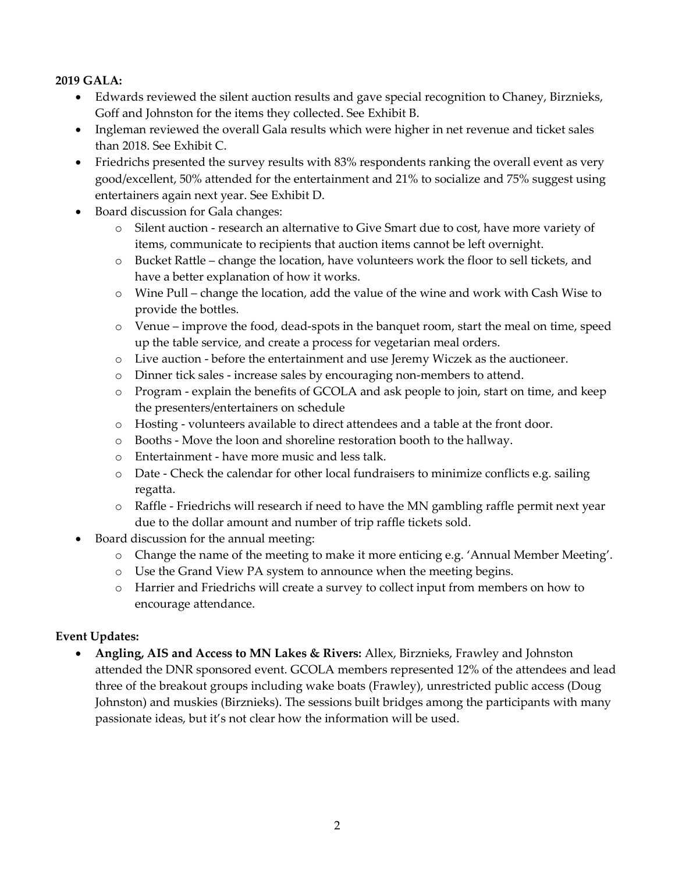### 2019 GALA:

- Edwards reviewed the silent auction results and gave special recognition to Chaney, Birznieks, Goff and Johnston for the items they collected. See Exhibit B.
- Ingleman reviewed the overall Gala results which were higher in net revenue and ticket sales than 2018. See Exhibit C.
- Friedrichs presented the survey results with 83% respondents ranking the overall event as very good/excellent, 50% attended for the entertainment and 21% to socialize and 75% suggest using entertainers again next year. See Exhibit D.
- Board discussion for Gala changes:
	- o Silent auction research an alternative to Give Smart due to cost, have more variety of items, communicate to recipients that auction items cannot be left overnight.
	- o Bucket Rattle change the location, have volunteers work the floor to sell tickets, and have a better explanation of how it works.
	- o Wine Pull change the location, add the value of the wine and work with Cash Wise to provide the bottles.
	- o Venue improve the food, dead-spots in the banquet room, start the meal on time, speed up the table service, and create a process for vegetarian meal orders.
	- o Live auction before the entertainment and use Jeremy Wiczek as the auctioneer.
	- o Dinner tick sales increase sales by encouraging non-members to attend.
	- o Program explain the benefits of GCOLA and ask people to join, start on time, and keep the presenters/entertainers on schedule
	- o Hosting volunteers available to direct attendees and a table at the front door.
	- o Booths Move the loon and shoreline restoration booth to the hallway.
	- o Entertainment have more music and less talk.
	- o Date Check the calendar for other local fundraisers to minimize conflicts e.g. sailing regatta.
	- o Raffle Friedrichs will research if need to have the MN gambling raffle permit next year due to the dollar amount and number of trip raffle tickets sold.
- Board discussion for the annual meeting:
	- o Change the name of the meeting to make it more enticing e.g. 'Annual Member Meeting'.
	- o Use the Grand View PA system to announce when the meeting begins.
	- o Harrier and Friedrichs will create a survey to collect input from members on how to encourage attendance.

### Event Updates:

 Angling, AIS and Access to MN Lakes & Rivers: Allex, Birznieks, Frawley and Johnston attended the DNR sponsored event. GCOLA members represented 12% of the attendees and lead three of the breakout groups including wake boats (Frawley), unrestricted public access (Doug Johnston) and muskies (Birznieks). The sessions built bridges among the participants with many passionate ideas, but it's not clear how the information will be used.